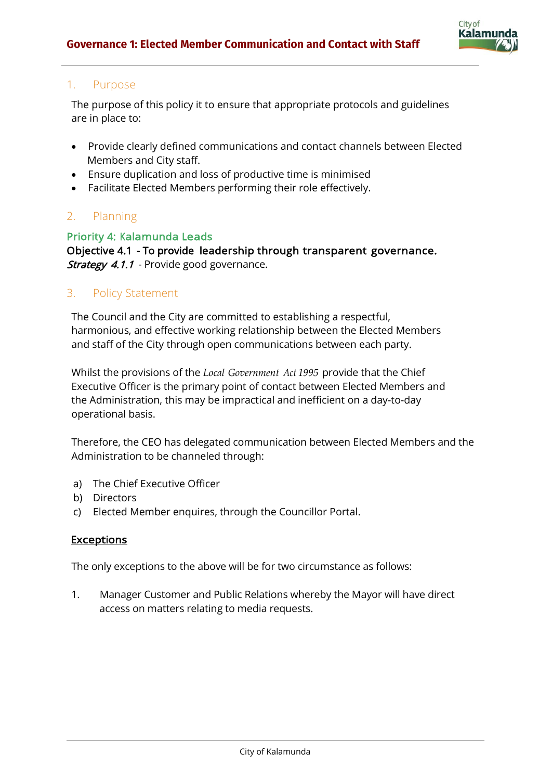

# 1. Purpose

The purpose of this policy it to ensure that appropriate protocols and guidelines are in place to:

- Provide clearly defined communications and contact channels between Elected Members and City staff.
- Ensure duplication and loss of productive time is minimised
- Facilitate Elected Members performing their role effectively.

# 2. Planning

# Priority 4: Kalamunda Leads

Objective 4.1 - To provide leadership through transparent governance. **Strategy 4.1.1** - Provide good governance.

# 3. Policy Statement

The Council and the City are committed to establishing a respectful, harmonious, and effective working relationship between the Elected Members and staff of the City through open communications between each party.

Whilst the provisions of the *Local Government Act 1995* provide that the Chief Executive Officer is the primary point of contact between Elected Members and the Administration, this may be impractical and inefficient on a day-to-day operational basis.

Therefore, the CEO has delegated communication between Elected Members and the Administration to be channeled through:

- a) The Chief Executive Officer
- b) Directors
- c) Elected Member enquires, through the Councillor Portal.

#### **Exceptions**

The only exceptions to the above will be for two circumstance as follows:

1. Manager Customer and Public Relations whereby the Mayor will have direct access on matters relating to media requests.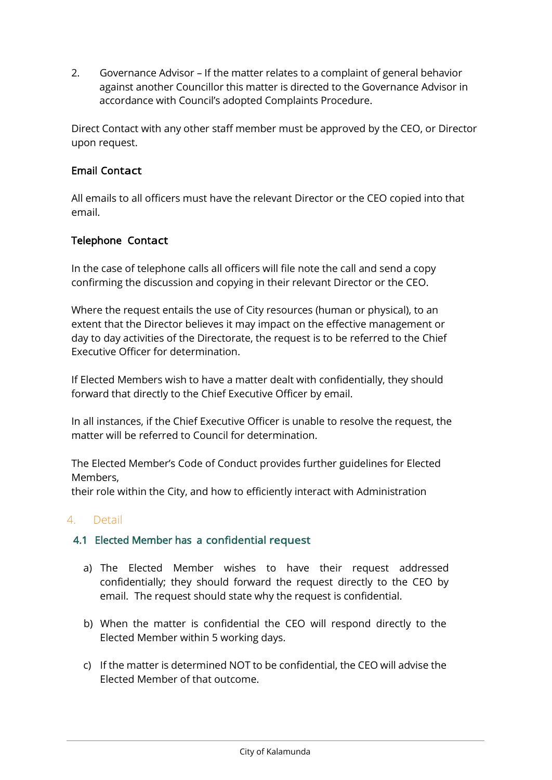2. Governance Advisor – If the matter relates to a complaint of general behavior against another Councillor this matter is directed to the Governance Advisor in accordance with Council's adopted Complaints Procedure.

Direct Contact with any other staff member must be approved by the CEO, or Director upon request.

# Email Contact

All emails to all officers must have the relevant Director or the CEO copied into that email.

# Telephone Contact

In the case of telephone calls all officers will file note the call and send a copy confirming the discussion and copying in their relevant Director or the CEO.

Where the request entails the use of City resources (human or physical), to an extent that the Director believes it may impact on the effective management or day to day activities of the Directorate, the request is to be referred to the Chief Executive Officer for determination.

If Elected Members wish to have a matter dealt with confidentially, they should forward that directly to the Chief Executive Officer by email.

In all instances, if the Chief Executive Officer is unable to resolve the request, the matter will be referred to Council for determination.

The Elected Member's Code of Conduct provides further guidelines for Elected Members,

their role within the City, and how to efficiently interact with Administration

#### 4. Detail

#### 4.1 Elected Member has a confidential request

- a) The Elected Member wishes to have their request addressed confidentially; they should forward the request directly to the CEO by email. The request should state why the request is confidential.
- b) When the matter is confidential the CEO will respond directly to the Elected Member within 5 working days.
- c) If the matter is determined NOT to be confidential, the CEO will advise the Elected Member of that outcome.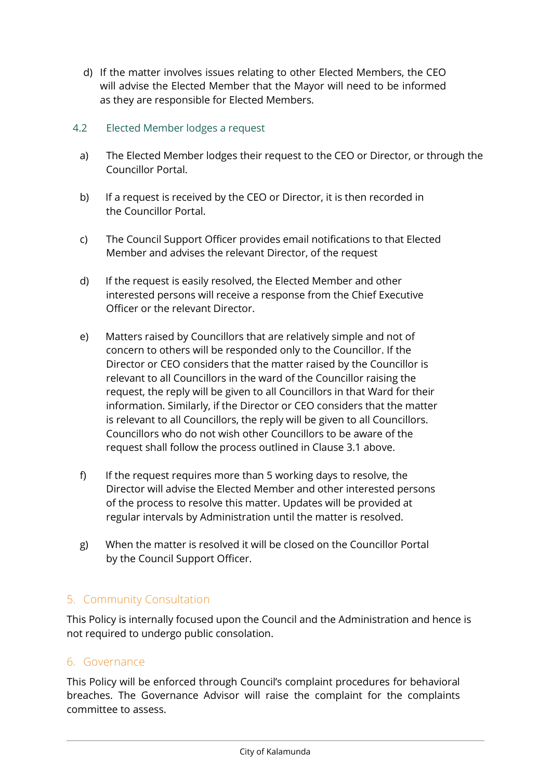d) If the matter involves issues relating to other Elected Members, the CEO will advise the Elected Member that the Mayor will need to be informed as they are responsible for Elected Members.

# 4.2 Elected Member lodges a request

- a) The Elected Member lodges their request to the CEO or Director, or through the Councillor Portal.
- b) If a request is received by the CEO or Director, it is then recorded in the Councillor Portal.
- c) The Council Support Officer provides email notifications to that Elected Member and advises the relevant Director, of the request
- d) If the request is easily resolved, the Elected Member and other interested persons will receive a response from the Chief Executive Officer or the relevant Director.
- e) Matters raised by Councillors that are relatively simple and not of concern to others will be responded only to the Councillor. If the Director or CEO considers that the matter raised by the Councillor is relevant to all Councillors in the ward of the Councillor raising the request, the reply will be given to all Councillors in that Ward for their information. Similarly, if the Director or CEO considers that the matter is relevant to all Councillors, the reply will be given to all Councillors. Councillors who do not wish other Councillors to be aware of the request shall follow the process outlined in Clause 3.1 above.
- f) If the request requires more than 5 working days to resolve, the Director will advise the Elected Member and other interested persons of the process to resolve this matter. Updates will be provided at regular intervals by Administration until the matter is resolved.
- g) When the matter is resolved it will be closed on the Councillor Portal by the Council Support Officer.

# 5. Community Consultation

This Policy is internally focused upon the Council and the Administration and hence is not required to undergo public consolation.

# 6. Governance

This Policy will be enforced through Council's complaint procedures for behavioral breaches. The Governance Advisor will raise the complaint for the complaints committee to assess.